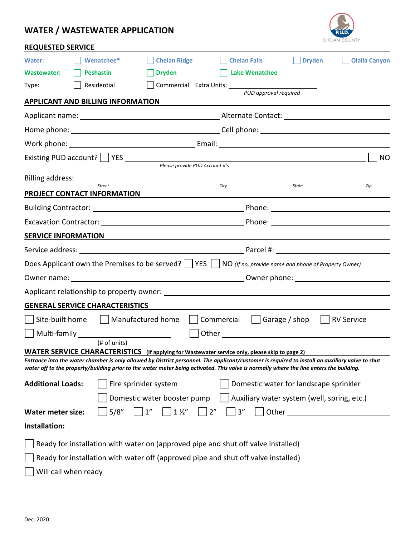## **WATER / WASTEWATER APPLICATION**



| <b>REQUESTED SERVICE</b> |
|--------------------------|
|--------------------------|

| Water:                                                                                                                                                                                                                                                                                     | Wenatchee*            | Chelan Ridge                          |                                | Chelan Falls   |                                                                                                               | <b>Dryden</b> | <b>Olalla Canyon</b>                        |
|--------------------------------------------------------------------------------------------------------------------------------------------------------------------------------------------------------------------------------------------------------------------------------------------|-----------------------|---------------------------------------|--------------------------------|----------------|---------------------------------------------------------------------------------------------------------------|---------------|---------------------------------------------|
| <b>Wastewater:</b>                                                                                                                                                                                                                                                                         | Peshastin             | <b>Dryden Example 2019</b>            |                                | Lake Wenatchee |                                                                                                               |               |                                             |
| Type:                                                                                                                                                                                                                                                                                      | Residential           | Commercial Extra Units: 1997          |                                |                |                                                                                                               |               |                                             |
| <b>APPLICANT AND BILLING INFORMATION</b>                                                                                                                                                                                                                                                   |                       |                                       |                                |                | PUD approval required                                                                                         |               |                                             |
|                                                                                                                                                                                                                                                                                            |                       |                                       |                                |                |                                                                                                               |               |                                             |
|                                                                                                                                                                                                                                                                                            |                       |                                       |                                |                |                                                                                                               |               |                                             |
|                                                                                                                                                                                                                                                                                            |                       |                                       |                                |                |                                                                                                               |               |                                             |
| Existing PUD account?   YES                                                                                                                                                                                                                                                                |                       |                                       |                                |                |                                                                                                               |               | <b>NO</b>                                   |
|                                                                                                                                                                                                                                                                                            |                       |                                       | Please provide PUD Account #'s |                |                                                                                                               |               |                                             |
|                                                                                                                                                                                                                                                                                            | Street                |                                       | City                           |                |                                                                                                               | <b>State</b>  | Zip                                         |
| PROJECT CONTACT INFORMATION                                                                                                                                                                                                                                                                |                       |                                       |                                |                |                                                                                                               |               |                                             |
|                                                                                                                                                                                                                                                                                            |                       |                                       |                                |                |                                                                                                               |               |                                             |
|                                                                                                                                                                                                                                                                                            |                       |                                       |                                |                |                                                                                                               |               |                                             |
| <b>SERVICE INFORMATION</b>                                                                                                                                                                                                                                                                 |                       |                                       |                                |                |                                                                                                               |               |                                             |
|                                                                                                                                                                                                                                                                                            |                       |                                       |                                |                |                                                                                                               |               |                                             |
| Does Applicant own the Premises to be served? $\Box$ YES $\Box$ NO (If no, provide name and phone of Property Owner)                                                                                                                                                                       |                       |                                       |                                |                |                                                                                                               |               |                                             |
|                                                                                                                                                                                                                                                                                            |                       |                                       |                                |                |                                                                                                               |               |                                             |
|                                                                                                                                                                                                                                                                                            |                       |                                       |                                |                |                                                                                                               |               |                                             |
| <b>GENERAL SERVICE CHARACTERISTICS</b>                                                                                                                                                                                                                                                     |                       |                                       |                                |                |                                                                                                               |               |                                             |
| Site-built home     Manufactured home                                                                                                                                                                                                                                                      |                       |                                       |                                |                | $Commercial$ $\Box$ Garage / shop $\Box$                                                                      |               | <b>RV Service</b>                           |
|                                                                                                                                                                                                                                                                                            |                       |                                       |                                |                | Other and the contract of the contract of the contract of the contract of the contract of the contract of the |               |                                             |
| WATER SERVICE CHARACTERISTICS (If applying for Wastewater service only, please skip to page 2)                                                                                                                                                                                             | (# of units)          |                                       |                                |                |                                                                                                               |               |                                             |
| Entrance into the water chamber is only allowed by District personnel. The applicant/customer is required to install an auxiliary valve to shut<br>water off to the property/building prior to the water meter being activated. This valve is normally where the line enters the building. |                       |                                       |                                |                |                                                                                                               |               |                                             |
| <b>Additional Loads:</b>                                                                                                                                                                                                                                                                   | Fire sprinkler system |                                       |                                |                |                                                                                                               |               | Domestic water for landscape sprinkler      |
|                                                                                                                                                                                                                                                                                            |                       | Domestic water booster pump           |                                |                |                                                                                                               |               | Auxiliary water system (well, spring, etc.) |
| <b>Water meter size:</b>                                                                                                                                                                                                                                                                   | 5/8''                 | 1 <sup>''</sup><br>$1\,\mathrm{\%}''$ | 2"                             | 3''            | Other                                                                                                         |               |                                             |
| Installation:                                                                                                                                                                                                                                                                              |                       |                                       |                                |                |                                                                                                               |               |                                             |
|                                                                                                                                                                                                                                                                                            |                       |                                       |                                |                |                                                                                                               |               |                                             |
| Ready for installation with water on (approved pipe and shut off valve installed)                                                                                                                                                                                                          |                       |                                       |                                |                |                                                                                                               |               |                                             |
| Ready for installation with water off (approved pipe and shut off valve installed)                                                                                                                                                                                                         |                       |                                       |                                |                |                                                                                                               |               |                                             |
| Will call when ready                                                                                                                                                                                                                                                                       |                       |                                       |                                |                |                                                                                                               |               |                                             |